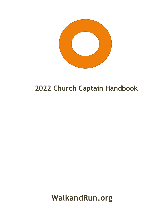

# **2022 Church Captain Handbook**

**WalkandRun.org**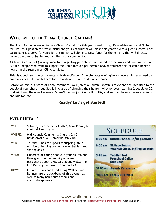

# **WELCOME TO THE TEAM, CHURCH CAPTAIN!**

Thank you for volunteering to be a Church Captain for this year's Wellspring Life Ministry Walk and 5k Run for Life. Your passion for this ministry and your enthusiasm will make this year's event a great success! Each participant is a powerful voice for this ministry, helping to raise funds for the ministry that will directly impact the lives of babies and families in our community.

A Church Captain (CC) is very important in getting your church motivated for the Walk and Run. Your church is full of people who want to support the Clinic through partnership and/or volunteering, or could benefit now or in the future from Clinic services.

This Handbook and the documents on WalkandRun.org/church-captain will give you everything you need to build a successful Church Team for the Walk and Run for Life in September.

**Before we dig in, a word of encouragement:** Your job as a Church Captain is to extend the invitation to the people of your church, but God is in charge of changing their hearts. Whether your team has 2 people or 20, God will bring the ones He wants. So we'll do our job, God will do His, and we'll all have an awesome Walk and Run for Life.

### **Ready? Let's get started!**

# **EVENT DETAILS**

| WHEN:         | Saturday, September 24, 2022, 8am-11am (5k)<br>starts at 9am sharp)                                                                                                        |
|---------------|----------------------------------------------------------------------------------------------------------------------------------------------------------------------------|
| <b>WHERE:</b> | Mid-Atlantic Community Church, 2485<br>Davidsonville Rd, Gambrills, MD 21054                                                                                               |
| WHY:          | To raise funds to support Wellspring Life's<br>mission of helping women, saving babies, and<br>sharing Jesus.                                                              |
| WHO:          | Hundreds of caring people in your church and<br>throughout our community who are<br>passionate about LIFE, care about Wellspring<br>Life Ministry, and want to support it! |
| HOW:          | Church Teams and Fundraising Walkers and<br>Runners are the backbone of this event - as<br>well as many non-church teams and<br>corporate sponsors.                        |

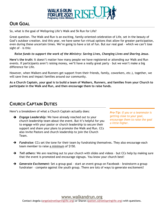

# **OUR GOAL**

So, what is the goal of Wellspring Life's Walk and 5k Run for Life?

Great question. The Walk and Run is an exciting, family-oriented celebration of Life, set in the beauty of God's outdoor creation. And this year, we have some fun virtual options that allow for greater participation, even during these uncertain times. We're going to have a lot of fun. But our real goal – which we can't lose sight of – is this:

#### *Raise funds to support the work of the Ministry: Saving Lives, Changing Lives and Sharing Jesus.*

**Here's the truth:** It doesn't matter how many people we have registered or attending our Walk and Run events. If participants aren't raising money, we'll have a really great party – but we won't make a big difference for Life.

However, when Walkers and Runners get support from their friends, family, coworkers, etc.), together, we will save lives and impact families around our community.

**As a Church Captain, your goal is to build a team of Walkers, Runners, and families from your Church to participate in the Walk and Run, and then encourage them to raise funds.** 

# **CHURCH CAPTAIN DUTIES**

Here's a breakdown of what a Church Captain actually does:

➔ *Engage Leadership:* We have already reached out to your church leadership team about the event. But it's helpful for you to engage with your pastor or church leadership to secure their support and share your plans to promote the Walk and Run. CCs also invite Pastors and church leadership to join the Church Team.

*Pro-Tip: If you or a teammate is getting close to your goal, encourage them to raise the goal a little higher.* 

- ➔ *Fundraise:* CCs set the tone for their team by fundraising themselves. They also encourage each team member to raise a minimum of \$150.
- ➔ *Tell others:* We are reaching out to your church with slides and videos but CCs help by making sure that the event is promoted and encourage signups. You know your church best!
- ➔ *Generate Excitement:* Set a group goal start an event group on Facebook brainstorm a group fundraiser – compete against the youth group. There are lots of ways to generate excitement!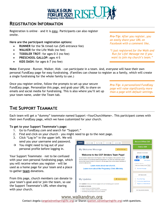

## **REGISTRATION INFORMATION**

Registration is online – and it is easy. Participants can also register onsite.

**Here are the participant registration options:**

- **RUNNER** for the 5k timed run (\$45 entrance fee)
- **WALKER** for the Life Walk (no fee)
- **TODDLER TROT**: for ages 0-3 (no fee)
- **PRESCHOOL GALLOP:** ages 4-5
- **KIDS DASH:** for ages 6-7 (no fee)

**Note:** Everyone – Runner, Walker, Kids – can participate in a team. And, everyone will have their own personal FundEasy page for easy fundraising. (Families can choose to register as a family, which will create a single fundraising for the whole family to use.)

Once you register online, follow the prompts to set up your secure FundEasy page. Personalize this page, and grab your URL to share on emails and social media for fundraising. This is also where you'll set up your team name, under the Team tab.

# **THE SUPPORT TEAMMATE**

Each team will get a "dummy" teammate named Support <YourChurchName>. This participant comes with their own FundEasy page, which we have customized for your church.

#### **To get to your Support Teammate's page:**

- 1. Go to FundEasy.com and search for "Support."
- 2. Find and click on your church you might need to go to the next page.
- 3. Click "Log In" in the upper left. We will send you your username and password.
- $\rightarrow$  You might need to log out of your personal profile before logging in.

Your Support Teammate – not to be confused with your own personal fundraising page, which you will receive when you register – will be used as a home page for your team and a place to gather **team** donations.

From this page, church members can donate to your team's goal and/or join the team, so use the Support Teammate's URL when sharing with your church.

**Record Offline Gift Details** Sponsors<sup>O</sup>  $Mv$  Team Visitors **(iii** Updates<sup>0</sup> **Online Gift** My Welcome Message Edit Message **SPREAD THE WORD** Welcome to the CCF Striders Team Page!  $f$  y in t We are excited to raise funds for the Pregnancy Clinic! The Pregnancy Clinic opened in 1982 to serve the needs of women facing unplanned pregnancies. They offer free medical and support<br>services that empower families to choose life. Let's all support them at their annual Celebration of ph Like 0 More Ontion Life at the Walk and Run. ser Page Link: http://www.fundeasy.com/m/- Copy Learn more about our church. Learn more about the Pregnancy Clinic Ministry. Bookmark this page **GET INVOLVED My Updates** Write An Update (i) Event Web Page Find Another Walker/ Register as a Walker/Ru Write Updates to keep your friends engaged until your fundraising goal is reached! An Update can include... A quick note on how things are going. . A story you'd like to share related to your fundraiser TOP WALKER/RUNNERS • Something that just happened at your fundrais

*Pro-Tip: After you register, you an easily share your URL on Facebook with a comment like,* 

*"I just registered for the Walk and Run for Life! Message me if you want to join my church's team."*

*Pro-Tip: A personalized FundEasy page will raise significantly more than a page with default settings.*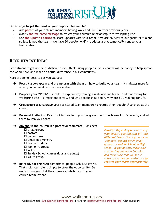

**Other ways to get the most of your Support Teammate:**

- Add **photos** of your church members having Walk and Run fun from previous years
- Modify **the Welcome Message** to reflect your church's relationship with Wellspring Life
- Use **the Update Feature** to share updates with your team ("We are halfway to our goal!" or "So and so just joined the team – we have 20 people now!"). Updates are automatically sent to your teammates.

# **RECRUITMENT IDEAS**

Recruitment might not be as difficult as you think. Many people in your church will be happy to help spread the Good News and make an actual difference in our community.

Here are some ideas to get you started:

- ➔ **Recruit a co-captain and brainstorm with them on how to build your team.** It's always more fun when you can work with someone else.
- ➔ **Prepare your "Pitch":** Be able to explain why joining a Walk and run team and fundraising for Wellspring Life – is important to you, and why people should join. Why are YOU walking for life?
- ➔ **Crowdsource:** Encourage your registered team members to recruit other people *they* know at the church.
- → **Personal Invitation:** Reach out to people in your congregation through email or Facebook, and ask them to join your team.

➔ **Anyone in the church is a potential teammate.** Consider:

- $\square$  small groups  $\Box$  pastors  $\square$  committees  $\square$  Children's Ministry  $\square$  Deacon/Elders  $\Box$  Women's groups □ MOPs  $\Box$  Sunday School classes (kids and adults) Youth group
- ➔ **Be ready for the NOs:** Sometimes, people will just say No. That's ok – our role is simply to offer the opportunity. Be ready to suggest that they make a contribution to your church team instead.

*Pro-Tip: Depending on the size of your church, you can split off into different teams. Small groups can 'compete' against other small groups, or Middle School vs High School. If you do this, make sure that each group has a Captain, and make sure that you let us know so that we can make sure to register your teams appropriately.*